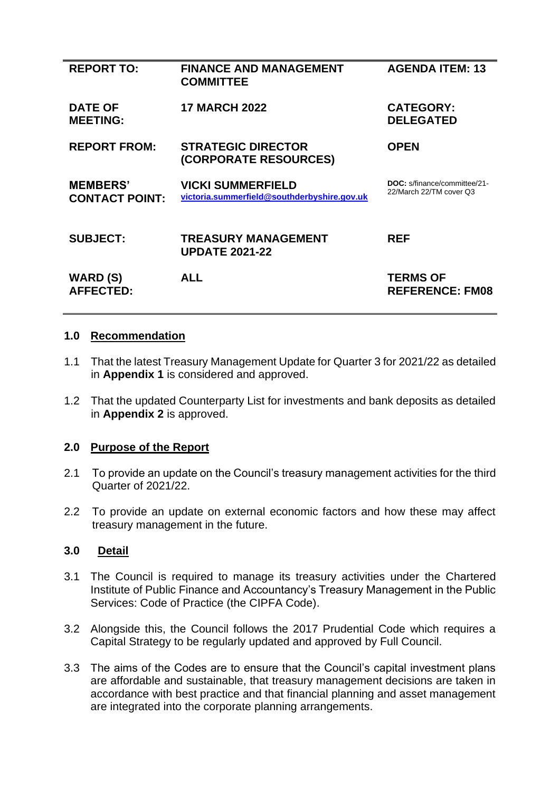| <b>REPORT TO:</b>                        | <b>FINANCE AND MANAGEMENT</b><br><b>COMMITTEE</b>                       | <b>AGENDA ITEM: 13</b>                                         |
|------------------------------------------|-------------------------------------------------------------------------|----------------------------------------------------------------|
| <b>DATE OF</b><br><b>MEETING:</b>        | <b>17 MARCH 2022</b>                                                    | <b>CATEGORY:</b><br><b>DELEGATED</b>                           |
| <b>REPORT FROM:</b>                      | <b>STRATEGIC DIRECTOR</b><br>(CORPORATE RESOURCES)                      | <b>OPEN</b>                                                    |
| <b>MEMBERS'</b><br><b>CONTACT POINT:</b> | <b>VICKI SUMMERFIELD</b><br>victoria.summerfield@southderbyshire.gov.uk | <b>DOC:</b> s/finance/committee/21-<br>22/March 22/TM cover Q3 |
| <b>SUBJECT:</b>                          | <b>TREASURY MANAGEMENT</b><br><b>UPDATE 2021-22</b>                     | <b>REF</b>                                                     |
| WARD (S)<br><b>AFFECTED:</b>             | ALL                                                                     | <b>TERMS OF</b><br><b>REFERENCE: FM08</b>                      |

## **1.0 Recommendation**

- 1.1 That the latest Treasury Management Update for Quarter 3 for 2021/22 as detailed in **Appendix 1** is considered and approved.
- 1.2 That the updated Counterparty List for investments and bank deposits as detailed in **Appendix 2** is approved.

## **2.0 Purpose of the Report**

- 2.1 To provide an update on the Council's treasury management activities for the third Quarter of 2021/22.
- 2.2 To provide an update on external economic factors and how these may affect treasury management in the future.

# **3.0 Detail**

- 3.1 The Council is required to manage its treasury activities under the Chartered Institute of Public Finance and Accountancy's Treasury Management in the Public Services: Code of Practice (the CIPFA Code).
- 3.2 Alongside this, the Council follows the 2017 Prudential Code which requires a Capital Strategy to be regularly updated and approved by Full Council.
- 3.3 The aims of the Codes are to ensure that the Council's capital investment plans are affordable and sustainable, that treasury management decisions are taken in accordance with best practice and that financial planning and asset management are integrated into the corporate planning arrangements.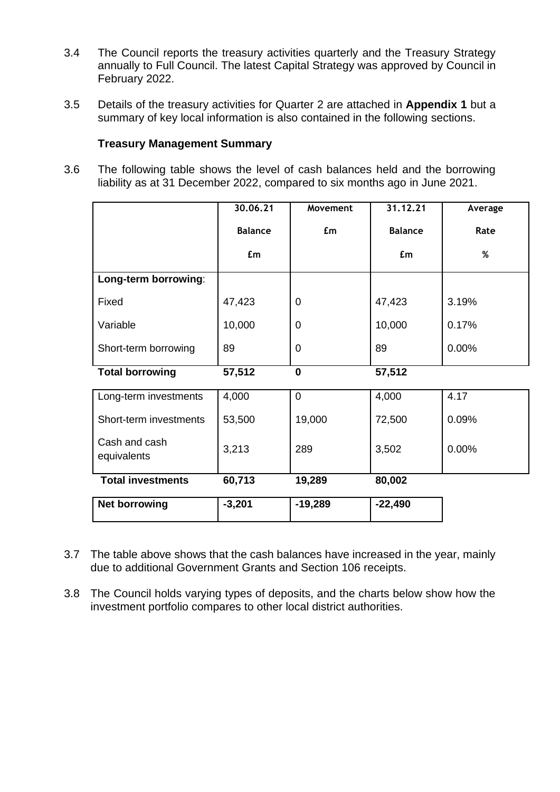- 3.4 The Council reports the treasury activities quarterly and the Treasury Strategy annually to Full Council. The latest Capital Strategy was approved by Council in February 2022.
- 3.5 Details of the treasury activities for Quarter 2 are attached in **Appendix 1** but a summary of key local information is also contained in the following sections.

# **Treasury Management Summary**

3.6 The following table shows the level of cash balances held and the borrowing liability as at 31 December 2022, compared to six months ago in June 2021.

|                              | 30.06.21       | Movement       | 31.12.21       | Average |
|------------------------------|----------------|----------------|----------------|---------|
|                              | <b>Balance</b> | £m             | <b>Balance</b> | Rate    |
|                              | £m             |                | £m             | %       |
| Long-term borrowing:         |                |                |                |         |
| Fixed                        | 47,423         | $\mathbf 0$    | 47,423         | 3.19%   |
| Variable                     | 10,000         | $\overline{0}$ | 10,000         | 0.17%   |
| Short-term borrowing         | 89             | $\overline{0}$ | 89             | 0.00%   |
| <b>Total borrowing</b>       | 57,512         | $\bf{0}$       | 57,512         |         |
| Long-term investments        | 4,000          | $\overline{0}$ | 4,000          | 4.17    |
| Short-term investments       | 53,500         | 19,000         | 72,500         | 0.09%   |
| Cash and cash<br>equivalents | 3,213          | 289            | 3,502          | 0.00%   |
| <b>Total investments</b>     | 60,713         | 19,289         | 80,002         |         |
| <b>Net borrowing</b>         | $-3,201$       | $-19,289$      | $-22,490$      |         |

- 3.7 The table above shows that the cash balances have increased in the year, mainly due to additional Government Grants and Section 106 receipts.
- 3.8 The Council holds varying types of deposits, and the charts below show how the investment portfolio compares to other local district authorities.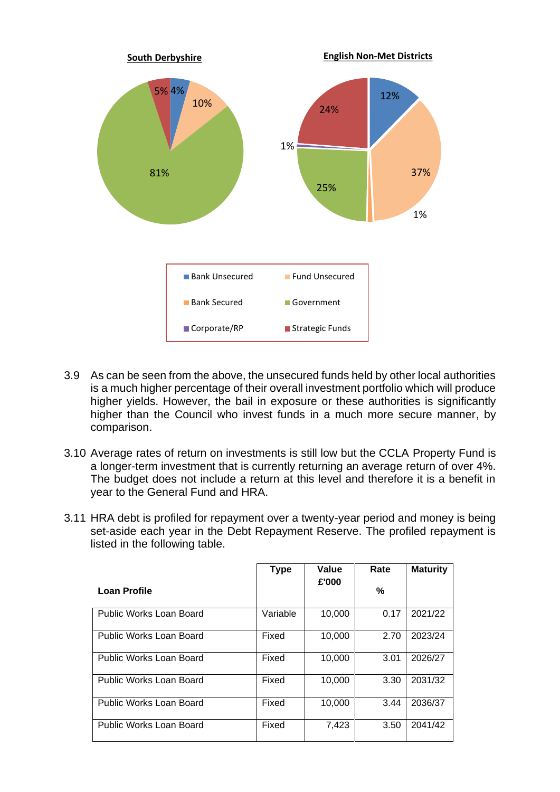

- 3.9 As can be seen from the above, the unsecured funds held by other local authorities is a much higher percentage of their overall investment portfolio which will produce higher yields. However, the bail in exposure or these authorities is significantly higher than the Council who invest funds in a much more secure manner, by comparison.
- 3.10 Average rates of return on investments is still low but the CCLA Property Fund is a longer-term investment that is currently returning an average return of over 4%. The budget does not include a return at this level and therefore it is a benefit in year to the General Fund and HRA.
- 3.11 HRA debt is profiled for repayment over a twenty-year period and money is being set-aside each year in the Debt Repayment Reserve. The profiled repayment is listed in the following table.

|                         | <b>Type</b> | Value  | Rate | <b>Maturity</b> |
|-------------------------|-------------|--------|------|-----------------|
| Loan Profile            |             | £'000  | ℅    |                 |
| Public Works Loan Board | Variable    | 10,000 | 0.17 | 2021/22         |
| Public Works Loan Board | Fixed       | 10.000 | 2.70 | 2023/24         |
| Public Works Loan Board | Fixed       | 10,000 | 3.01 | 2026/27         |
| Public Works Loan Board | Fixed       | 10,000 | 3.30 | 2031/32         |
| Public Works Loan Board | Fixed       | 10,000 | 3.44 | 2036/37         |
| Public Works Loan Board | Fixed       | 7,423  | 3.50 | 2041/42         |